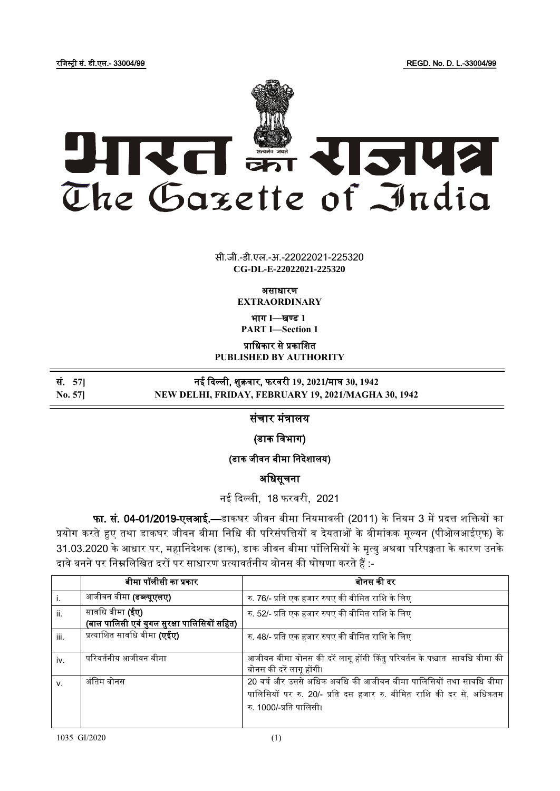रजिस्ट्री सं. डी.एल.- 33004/99 REGD. No. D. L.-33004/99



सी.जी.-डी.एल.-अ.-22022021-225320 **xxxGIDExxx CG-DL-E-22022021-225320**

असाधारण

**EXTRAORDINARY**

भाग **I**—खण् ड **1 PART I—Section 1**

प्राजधकार से प्रकाजित **PUBLISHED BY AUTHORITY**

सं. **57]** नई ददल्ली, िुक्रिार, फरिरी **19, 2021**/माघ **30, 1942**

**No. 57] NEW DELHI, FRIDAY, FEBRUARY 19, 2021/MAGHA 30, 1942**

संचार मंत्रालय

(डाक जिभाग)

(डाक जीवन बीमा निदेशालय)

अजधसूचना

नई दिल्ली, 18 फरवरी, 2021

फा. सं. 04-01/2019-एलआई.—डाकघर जीवन बीमा नियमावली (2011) के नियम 3 में प्रदत्त शक्तियों का प्रयोग करते हुए तथा डाकघर जीवन बीमा निधि की परिसंपत्तियों व देयताओं के बीमांकक मूल्यन (पीओलआईएफ) के 31.03.2020 के आधार पर, महानिदेशक (डाक), डाक जीवन बीमा पॉलिसियों के मृत्यु अथवा परिपक्वता के कारण उनके दावे बनने पर निम्नलिखित दरों पर साधारण प्रत्यावर्तनीय बोनस की घोषणा करते हैं :-

|      | बीमा पॉलीसी का प्रकार                                                  | बोनस की दर                                                                                                                                                         |
|------|------------------------------------------------------------------------|--------------------------------------------------------------------------------------------------------------------------------------------------------------------|
|      | आजीवन बीमा (डब्ल्यूएलए)                                                | रु. 76/- प्रति एक हजार रुपए की बीमित राशि के लिए                                                                                                                   |
| ii.  | सावधि बीमा <b>(ईए)</b><br>(बाल पालिसी एवं युगल सुरक्षा पालिसियों सहित) | रु. 52/- प्रति एक हजार रुपए की बीमित राशि के लिए                                                                                                                   |
| iii. | प्रत्याशित सावधि बीमा <b>(एईए)</b>                                     | रु. 48/- प्रति एक हजार रुपए की बीमित राशि के लिए                                                                                                                   |
| iv.  | परिवर्तनीय आजीवन बीमा                                                  | आजीवन बीमा बोनस की दरें लागू होंगी किंतु परिवर्तन के पश्चात  सावधि बीमा की<br>बोनस की दरें लागू होंगी।                                                             |
| v.   | अंतिम बोनस                                                             | 20 वर्ष और उससे अधिक अवधि की आजीवन बीमा पालिसियों तथा सावधि बीमा<br>पालिसियों पर रु. 20/- प्रति दस हजार रु. बीमित राशि की दर से, अधिकतम<br>रु. 1000/-प्रति पालिसी। |

ׇׇ֦֖֖֘֝֬֓